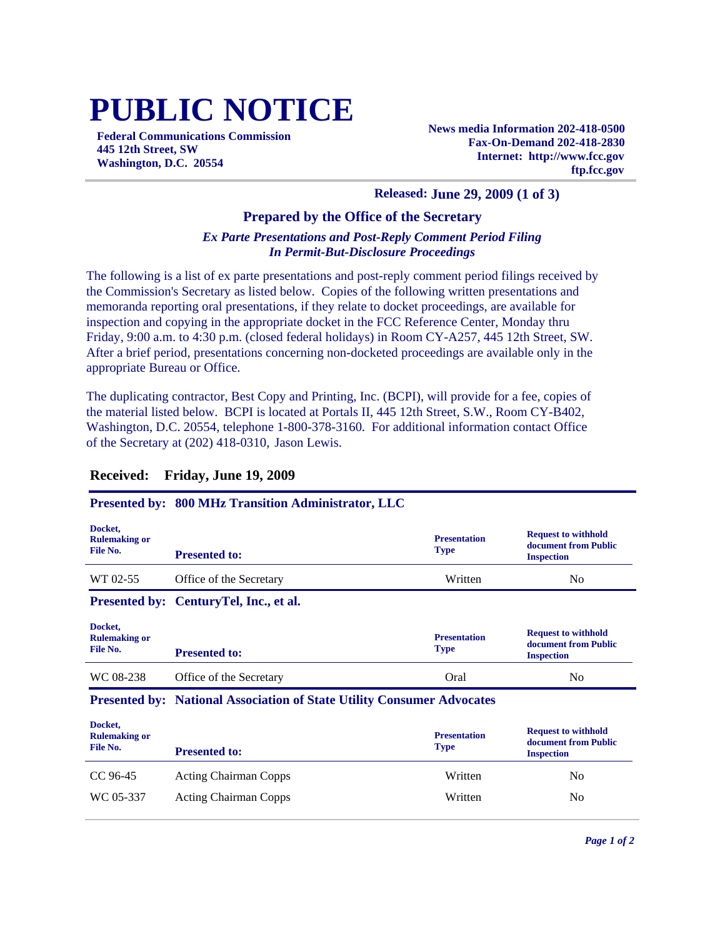# **PUBLIC NOTICE**

**Federal Communications Commission 445 12th Street, SW Washington, D.C. 20554**

**News media Information 202-418-0500 Fax-On-Demand 202-418-2830 Internet: http://www.fcc.gov ftp.fcc.gov**

### **Released: June 29, 2009 (1 of 3)**

## **Prepared by the Office of the Secretary**

## *Ex Parte Presentations and Post-Reply Comment Period Filing In Permit-But-Disclosure Proceedings*

The following is a list of ex parte presentations and post-reply comment period filings received by the Commission's Secretary as listed below. Copies of the following written presentations and memoranda reporting oral presentations, if they relate to docket proceedings, are available for inspection and copying in the appropriate docket in the FCC Reference Center, Monday thru Friday, 9:00 a.m. to 4:30 p.m. (closed federal holidays) in Room CY-A257, 445 12th Street, SW. After a brief period, presentations concerning non-docketed proceedings are available only in the appropriate Bureau or Office.

The duplicating contractor, Best Copy and Printing, Inc. (BCPI), will provide for a fee, copies of the material listed below. BCPI is located at Portals II, 445 12th Street, S.W., Room CY-B402, Washington, D.C. 20554, telephone 1-800-378-3160. For additional information contact Office of the Secretary at (202) 418-0310, Jason Lewis.

## **Received: Friday, June 19, 2009**

### **Presented by: 800 MHz Transition Administrator, LLC**

| Docket,<br><b>Rulemaking or</b><br>File No. | <b>Presented to:</b>                   | <b>Presentation</b><br><b>Type</b> | <b>Request to withhold</b><br>document from Public<br><b>Inspection</b> |
|---------------------------------------------|----------------------------------------|------------------------------------|-------------------------------------------------------------------------|
| WT 02-55                                    | Office of the Secretary                | Written                            | No                                                                      |
|                                             | Presented by: CenturyTel, Inc., et al. |                                    |                                                                         |
| Docket,<br><b>Rulemaking or</b><br>File No. | <b>Presented to:</b>                   | <b>Presentation</b><br><b>Type</b> | <b>Request to withhold</b><br>document from Public<br><b>Inspection</b> |
| WC 08-238                                   | Office of the Secretary                | Oral                               | N <sub>0</sub>                                                          |

#### **Presented by: National Association of State Utility Consumer Advocates**

| Docket,<br><b>Rulemaking or</b><br>File No. | <b>Presented to:</b>         | <b>Presentation</b><br><b>Type</b> | <b>Request to withhold</b><br>document from Public<br><b>Inspection</b> |
|---------------------------------------------|------------------------------|------------------------------------|-------------------------------------------------------------------------|
| CC 96-45                                    | <b>Acting Chairman Copps</b> | Written                            | No                                                                      |
| WC 05-337                                   | <b>Acting Chairman Copps</b> | Written                            | No                                                                      |